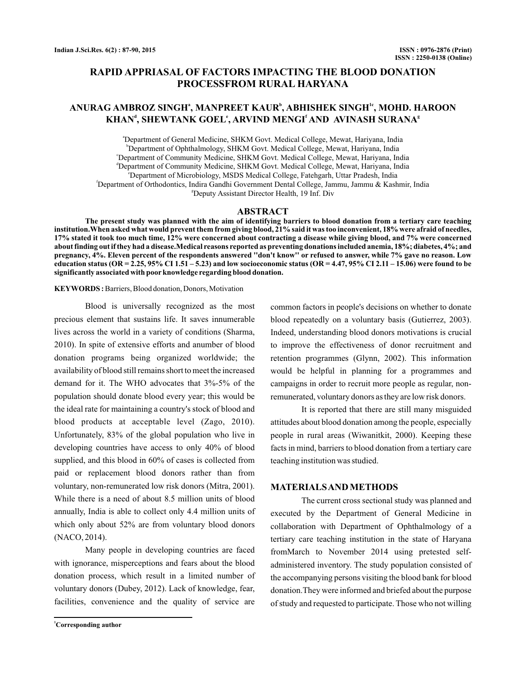# **RAPID APPRIASAL OF FACTORS IMPACTING THE BLOOD DONATION PROCESSFROM RURAL HARYANA**

# $\bold{ANURAG}$   $\bold{AMBROZ}$   $\bold{SINGH^a, MANPREET}$   $\bold{KAUR^b, ABHISHEK}$   $\bold{SINGH^{lc}, MOHD.}$   $\bold{HAROON}}$ **KHAN , SHEWTANK GOEL , ARVIND MENGI AND AVINASH SURANA d e f g**

a Department of General Medicine, SHKM Govt. Medical College, Mewat, Hariyana, India b Department of Ophthalmology, SHKM Govt. Medical College, Mewat, Hariyana, India c Department of Community Medicine, SHKM Govt. Medical College, Mewat, Hariyana, India d Department of Community Medicine, SHKM Govt. Medical College, Mewat, Hariyana, India e Department of Microbiology, MSDS Medical College, Fatehgarh, Uttar Pradesh, India f Department of Orthodontics, Indira Gandhi Government Dental College, Jammu, Jammu & Kashmir, India g Deputy Assistant Director Health, 19 Inf. Div

## **ABSTRACT**

**The present study was planned with the aim of identifying barriers to blood donation from a tertiary care teaching institution.When asked what would prevent them from giving blood, 21% said it was too inconvenient, 18% were afraid of needles, 17% stated it took too much time, 12% were concerned about contracting a disease while giving blood, and 7% were concerned about finding out if they had a disease.Medical reasons reported as preventing donations included anemia, 18%; diabetes, 4%; and pregnancy, 4%. Eleven percent of the respondents answered ''don't know'' or refused to answer, while 7% gave no reason. Low education status (OR = 2.25, 95% CI 1.51 – 5.23) and low socioeconomic status (OR = 4.47, 95% CI 2.11 – 15.06) were found to be significantly associated with poor knowledge regarding blood donation.**

**KEYWORDS :** Barriers, Blood donation, Donors, Motivation

Blood is universally recognized as the most precious element that sustains life. It saves innumerable lives across the world in a variety of conditions (Sharma, 2010). In spite of extensive efforts and anumber of blood donation programs being organized worldwide; the availability of blood still remains short to meet the increased demand for it. The WHO advocates that 3%-5% of the population should donate blood every year; this would be the ideal rate for maintaining a country's stock of blood and blood products at acceptable level (Zago, 2010). Unfortunately, 83% of the global population who live in developing countries have access to only 40% of blood supplied, and this blood in 60% of cases is collected from paid or replacement blood donors rather than from voluntary, non-remunerated low risk donors (Mitra, 2001). While there is a need of about 8.5 million units of blood annually, India is able to collect only 4.4 million units of which only about 52% are from voluntary blood donors (NACO, 2014).

Many people in developing countries are faced with ignorance, misperceptions and fears about the blood donation process, which result in a limited number of voluntary donors (Dubey, 2012). Lack of knowledge, fear, facilities, convenience and the quality of service are

**<sup>1</sup>Corresponding author**

common factors in people's decisions on whether to donate blood repeatedly on a voluntary basis (Gutierrez, 2003). Indeed, understanding blood donors motivations is crucial to improve the effectiveness of donor recruitment and retention programmes (Glynn, 2002). This information would be helpful in planning for a programmes and campaigns in order to recruit more people as regular, nonremunerated, voluntary donors as they are low risk donors.

It is reported that there are still many misguided attitudes about blood donation among the people, especially people in rural areas (Wiwanitkit, 2000). Keeping these facts in mind, barriers to blood donation from a tertiary care teaching institution was studied.

### **MATERIALSAND METHODS**

The current cross sectional study was planned and executed by the Department of General Medicine in collaboration with Department of Ophthalmology of a tertiary care teaching institution in the state of Haryana fromMarch to November 2014 using pretested selfadministered inventory. The study population consisted of the accompanying persons visiting the blood bank for blood donation.They were informed and briefed about the purpose of study and requested to participate. Those who not willing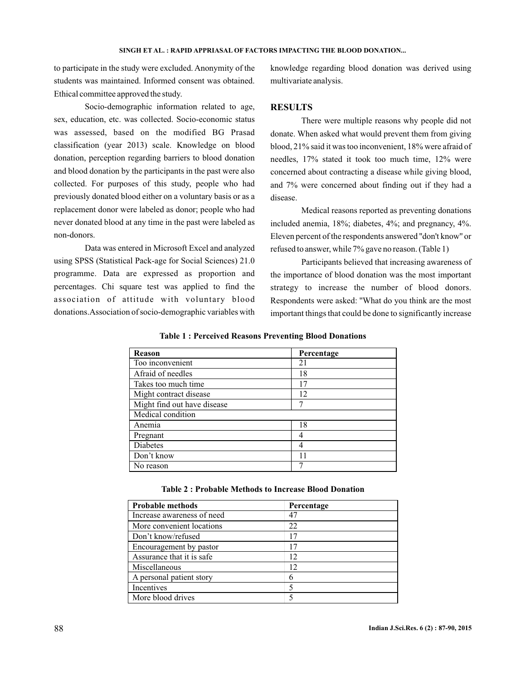#### SINGH ET AL. : RAPID APPRIASAL OF FACTORS IMPACTING THE BLOOD DONATION...

to participate in the study were excluded. Anonymity of the students was maintained. Informed consent was obtained. Ethical committee approved the study.

Socio-demographic information related to age, sex, education, etc. was collected. Socio-economic status was assessed, based on the modified BG Prasad classification (year 2013) scale. Knowledge on blood donation, perception regarding barriers to blood donation and blood donation by the participants in the past were also collected. For purposes of this study, people who had previously donated blood either on a voluntary basis or as a replacement donor were labeled as donor; people who had never donated blood at any time in the past were labeled as non-donors.

Data was entered in Microsoft Excel and analyzed using SPSS (Statistical Pack-age for Social Sciences) 21.0 programme. Data are expressed as proportion and percentages. Chi square test was applied to find the association of attitude with voluntary blood donations.Association of socio-demographic variables with

knowledge regarding blood donation was derived using multivariate analysis.

## **RESULTS**

There were multiple reasons why people did not donate. When asked what would prevent them from giving blood, 21% said it was too inconvenient, 18% were afraid of needles, 17% stated it took too much time, 12% were concerned about contracting a disease while giving blood, and 7% were concerned about finding out if they had a disease.

Medical reasons reported as preventing donations included anemia, 18%; diabetes, 4%; and pregnancy, 4%. Eleven percent of the respondents answered ''don't know'' or refused to answer, while 7% gave no reason. (Table 1)

Participants believed that increasing awareness of the importance of blood donation was the most important strategy to increase the number of blood donors. Respondents were asked: ''What do you think are the most important things that could be done to significantly increase

| Reason                      | Percentage |
|-----------------------------|------------|
| Too inconvenient            | 21         |
| Afraid of needles           | 18         |
| Takes too much time         | 17         |
| Might contract disease      | 12         |
| Might find out have disease |            |
| Medical condition           |            |
| Anemia                      | 18         |
| Pregnant                    |            |
| <b>Diabetes</b>             |            |
| Don't know                  | 11         |
| No reason                   |            |

**Table 1 : Perceived Reasons Preventing Blood Donations**

| Probable methods           | Percentage |  |
|----------------------------|------------|--|
| Increase awareness of need | 47         |  |
| More convenient locations  | 22         |  |
| Don't know/refused         | 17         |  |
| Encouragement by pastor    | 17         |  |
| Assurance that it is safe. | 12         |  |
| Miscellaneous              | 12         |  |
| A personal patient story   | 6          |  |
| Incentives                 |            |  |
| More blood drives          |            |  |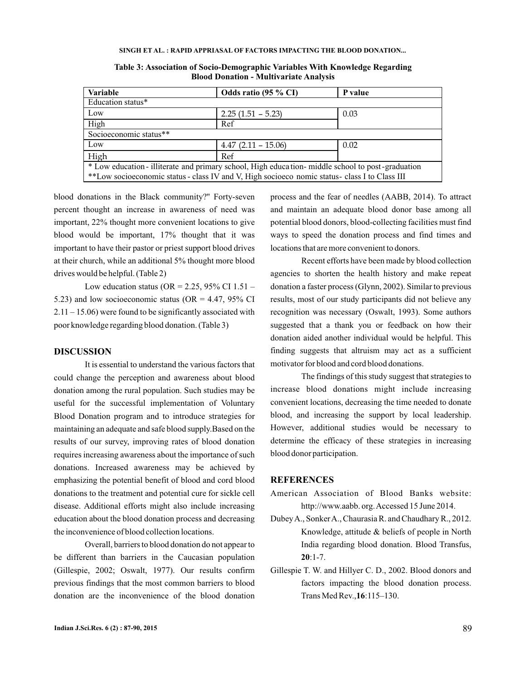#### **SINGH ET AL. : RAPID APPRIASAL OF FACTORS IMPACTING THE BLOOD DONATION...**

| <b>Variable</b>                                                                                   | Odds ratio (95 % CI)  | P value |  |  |
|---------------------------------------------------------------------------------------------------|-----------------------|---------|--|--|
| Education status*                                                                                 |                       |         |  |  |
| Low                                                                                               | $2.25(1.51 - 5.23)$   | 0.03    |  |  |
| High                                                                                              | Ref                   |         |  |  |
| Socioeconomic status**                                                                            |                       |         |  |  |
| Low                                                                                               | $4.47$ (2.11 – 15.06) | 0.02    |  |  |
| High                                                                                              | Ref                   |         |  |  |
| * Low education - illiterate and primary school, High education- middle school to post-graduation |                       |         |  |  |
| **Low socioeconomic status - class IV and V, High socioeco nomic status - class I to Class III    |                       |         |  |  |

**Table 3: Association of Socio-Demographic Variables With Knowledge Regarding Blood Donation - Multivariate Analysis**

blood donations in the Black community?'' Forty-seven percent thought an increase in awareness of need was important, 22% thought more convenient locations to give blood would be important, 17% thought that it was important to have their pastor or priest support blood drives at their church, while an additional 5% thought more blood drives would be helpful. (Table 2)

Low education status (OR = 2.25, 95% CI 1.51 – 5.23) and low socioeconomic status (OR =  $4.47,95\%$  CI 2.11 – 15.06) were found to be significantly associated with poor knowledge regarding blood donation. (Table 3)

## **DISCUSSION**

It is essential to understand the various factors that could change the perception and awareness about blood donation among the rural population. Such studies may be useful for the successful implementation of Voluntary Blood Donation program and to introduce strategies for maintaining an adequate and safe blood supply.Based on the results of our survey, improving rates of blood donation requires increasing awareness about the importance of such donations. Increased awareness may be achieved by emphasizing the potential benefit of blood and cord blood donations to the treatment and potential cure for sickle cell disease. Additional efforts might also include increasing education about the blood donation process and decreasing the inconvenience of blood collection locations.

Overall, barriers to blood donation do not appear to be different than barriers in the Caucasian population (Gillespie, 2002; Oswalt, 1977). Our results confirm previous findings that the most common barriers to blood donation are the inconvenience of the blood donation

process and the fear of needles (AABB, 2014). To attract and maintain an adequate blood donor base among all potential blood donors, blood-collecting facilities must find ways to speed the donation process and find times and locations that are more convenient to donors.

Recent efforts have been made by blood collection agencies to shorten the health history and make repeat donation a faster process (Glynn, 2002). Similar to previous results, most of our study participants did not believe any recognition was necessary (Oswalt, 1993). Some authors suggested that a thank you or feedback on how their donation aided another individual would be helpful. This finding suggests that altruism may act as a sufficient motivator for blood and cord blood donations.

The findings of this study suggest that strategies to increase blood donations might include increasing convenient locations, decreasing the time needed to donate blood, and increasing the support by local leadership. However, additional studies would be necessary to determine the efficacy of these strategies in increasing blood donor participation.

### **REFERENCES**

- American Association of Blood Banks website: http://www.aabb. org. Accessed 15 June 2014.
- DubeyA., SonkerA., Chaurasia R. and Chaudhary R., 2012. Knowledge, attitude & beliefs of people in North India regarding blood donation. Blood Transfus,  $20:1-7.$
- Gillespie T. W. and Hillyer C. D., 2002. Blood donors and factors impacting the blood donation process. Trans Med Rev., 16:115–130.